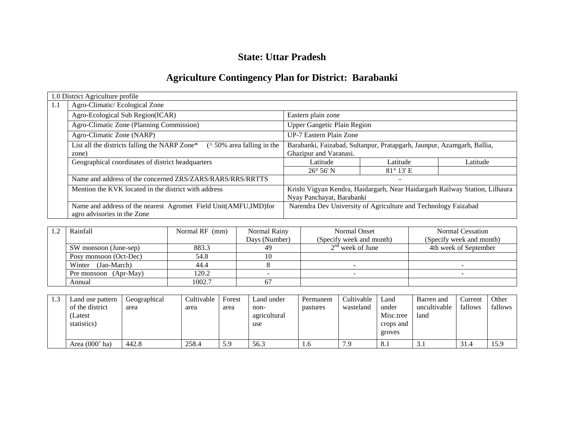# **State: Uttar Pradesh**

# **Agriculture Contingency Plan for District: Barabanki**

|     | 1.0 District Agriculture profile                                                                 |                                                                                                          |                          |          |  |
|-----|--------------------------------------------------------------------------------------------------|----------------------------------------------------------------------------------------------------------|--------------------------|----------|--|
| 1.1 | Agro-Climatic/Ecological Zone                                                                    |                                                                                                          |                          |          |  |
|     | Agro-Ecological Sub Region(ICAR)                                                                 | Eastern plain zone                                                                                       |                          |          |  |
|     | Agro-Climatic Zone (Planning Commission)                                                         | <b>Upper Gangetic Plain Region</b>                                                                       |                          |          |  |
|     | Agro-Climatic Zone (NARP)                                                                        | UP-7 Eastern Plain Zone                                                                                  |                          |          |  |
|     | ( $\land$ 50% area falling in the<br>List all the districts falling the NARP Zone*<br>zone)      | Barabanki, Faizabad, Sultanpur, Pratapgarh, Jaunpur, Azamgarh, Ballia,<br>Ghazipur and Varanasi.         |                          |          |  |
|     | Geographical coordinates of district headquarters                                                | Latitude                                                                                                 | Latitude                 | Latitude |  |
|     |                                                                                                  | $26^{\circ} 56' N$                                                                                       | $81^\circ 13'$ E         |          |  |
|     | Name and address of the concerned ZRS/ZARS/RARS/RRS/RRTTS                                        |                                                                                                          | $\overline{\phantom{a}}$ |          |  |
|     | Mention the KVK located in the district with address                                             | Krishi Vigyan Kendra, Haidargarh, Near Haidargarh Railway Station, Lilhaura<br>Nyay Panchayat, Barabanki |                          |          |  |
|     | Name and address of the nearest Agromet Field Unit(AMFU, IMD) for<br>agro advisories in the Zone | Narendra Dev University of Agriculture and Technology Faizabad                                           |                          |          |  |

| Rainfall               | Normal RF (mm) | Normal Rainy  | Normal Onset             | Normal Cessation         |
|------------------------|----------------|---------------|--------------------------|--------------------------|
|                        |                | Days (Number) | (Specify week and month) | (Specify week and month) |
| SW monsoon (June-sep)  | 883.3          | 49            | $2nd$ week of June       | 4th week of September    |
| Posy monsoon (Oct-Dec) | 54.8           |               |                          |                          |
| Winter (Jan-March)     | 44.4           |               |                          |                          |
| Pre monsoon (Apr-May)  | 120.2          |               |                          |                          |
| Annual                 | 1002.7         |               |                          |                          |

| Land use pattern | Geographical | Cultivable | Forest | Land under   | Permanent | Cultivable | Land            | Barren and   | Current | Other   |
|------------------|--------------|------------|--------|--------------|-----------|------------|-----------------|--------------|---------|---------|
| of the district  | area         | area       | area   | non-         | pastures  | wasteland  | under           | uncultivable | fallows | fallows |
| (Latest          |              |            |        | agricultural |           |            | Misc.tree       | land         |         |         |
| statistics)      |              |            |        | use          |           |            | crops and       |              |         |         |
|                  |              |            |        |              |           |            | groves          |              |         |         |
| Area $(000'$ ha) | 442.8        | 258.4      | 5.9    | 56.3         | 1.0       | 7.9        | $\Omega$<br>O.1 | 3.1          | 31.4    | 15.9    |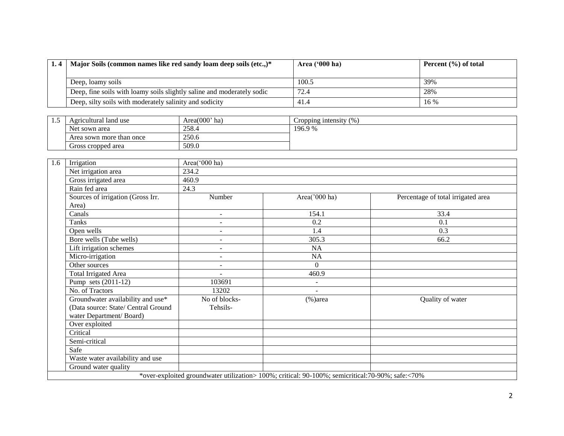| 1.4   Major Soils (common names like red sandy loam deep soils (etc.,)* | Area $('000 ha)$ | Percent $(\% )$ of total |
|-------------------------------------------------------------------------|------------------|--------------------------|
| Deep, loamy soils                                                       | 100.5            | 39%                      |
| Deep, fine soils with loamy soils slightly saline and moderately sodic  | 72.4             | 28%                      |
| Deep, silty soils with moderately salinity and sodicity                 | 41.4             | $16\%$                   |

| ن د | Agricultural land use    | Area $(000)$ <sup>'</sup> ha) | Cropping intensity $(\% )$ |
|-----|--------------------------|-------------------------------|----------------------------|
|     | Net sown area            | 258.4                         | 196.9 %                    |
|     | Area sown more than once | 250.6                         |                            |
|     | Gross cropped area       | 509.0                         |                            |

| 1.6 | Irrigation                          | Area('000 ha)            |                                                                                                   |                                    |  |  |  |  |  |  |
|-----|-------------------------------------|--------------------------|---------------------------------------------------------------------------------------------------|------------------------------------|--|--|--|--|--|--|
|     | Net irrigation area                 | 234.2                    |                                                                                                   |                                    |  |  |  |  |  |  |
|     | Gross irrigated area                | 460.9                    |                                                                                                   |                                    |  |  |  |  |  |  |
|     | Rain fed area                       | 24.3                     |                                                                                                   |                                    |  |  |  |  |  |  |
|     | Sources of irrigation (Gross Irr.   | Number                   | Area('000 ha)                                                                                     | Percentage of total irrigated area |  |  |  |  |  |  |
|     | Area)                               |                          |                                                                                                   |                                    |  |  |  |  |  |  |
|     | Canals                              | $\sim$                   | 154.1                                                                                             | 33.4                               |  |  |  |  |  |  |
|     | Tanks                               | $\sim$                   | 0.2                                                                                               | 0.1                                |  |  |  |  |  |  |
|     | Open wells                          | $\overline{\phantom{a}}$ | 1.4                                                                                               | 0.3                                |  |  |  |  |  |  |
|     | Bore wells (Tube wells)             | $\overline{\phantom{a}}$ | 305.3                                                                                             | 66.2                               |  |  |  |  |  |  |
|     | Lift irrigation schemes             | $\overline{\phantom{0}}$ | NA                                                                                                |                                    |  |  |  |  |  |  |
|     | Micro-irrigation                    | $\overline{\phantom{m}}$ | NA                                                                                                |                                    |  |  |  |  |  |  |
|     | Other sources                       | $\overline{\phantom{a}}$ | $\overline{0}$                                                                                    |                                    |  |  |  |  |  |  |
|     | <b>Total Irrigated Area</b>         | $\sim$                   | 460.9                                                                                             |                                    |  |  |  |  |  |  |
|     | Pump sets $(2011-12)$               | 103691                   | $\blacksquare$                                                                                    |                                    |  |  |  |  |  |  |
|     | No. of Tractors                     | 13202                    |                                                                                                   |                                    |  |  |  |  |  |  |
|     | Groundwater availability and use*   | No of blocks-            | $(\% )$ area                                                                                      | Quality of water                   |  |  |  |  |  |  |
|     | (Data source: State/ Central Ground | Tehsils-                 |                                                                                                   |                                    |  |  |  |  |  |  |
|     | water Department/Board)             |                          |                                                                                                   |                                    |  |  |  |  |  |  |
|     | Over exploited                      |                          |                                                                                                   |                                    |  |  |  |  |  |  |
|     | Critical                            |                          |                                                                                                   |                                    |  |  |  |  |  |  |
|     | Semi-critical                       |                          |                                                                                                   |                                    |  |  |  |  |  |  |
|     | Safe                                |                          |                                                                                                   |                                    |  |  |  |  |  |  |
|     | Waste water availability and use    |                          |                                                                                                   |                                    |  |  |  |  |  |  |
|     | Ground water quality                |                          |                                                                                                   |                                    |  |  |  |  |  |  |
|     |                                     |                          | *over-exploited groundwater utilization> 100%; critical: 90-100%; semicritical: 70-90%; safe:<70% |                                    |  |  |  |  |  |  |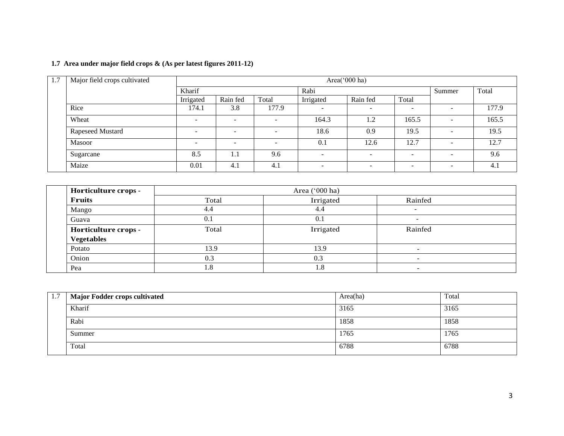# **1.7 Area under major field crops & (As per latest figures 2011-12)**

| 1.7 | Major field crops cultivated |                          |                          |                          |                          |                          |                          |                          |       |
|-----|------------------------------|--------------------------|--------------------------|--------------------------|--------------------------|--------------------------|--------------------------|--------------------------|-------|
|     |                              | Kharif                   |                          |                          |                          | Rabi                     |                          |                          | Total |
|     |                              | Irrigated                | Rain fed                 | Total                    | Irrigated                | Rain fed                 | Total                    |                          |       |
|     | Rice                         | 174.1                    | 3.8                      | 177.9                    | - -                      | -                        |                          | $\overline{\phantom{a}}$ | 177.9 |
|     | Wheat                        | $\overline{\phantom{a}}$ |                          | $\overline{\phantom{a}}$ | 164.3                    | 1.2                      | 165.5                    | $\overline{\phantom{a}}$ | 165.5 |
|     | Rapeseed Mustard             | $\overline{\phantom{a}}$ | $\overline{\phantom{a}}$ | $\overline{\phantom{a}}$ | 18.6                     | 0.9                      | 19.5                     | $\overline{\phantom{0}}$ | 19.5  |
|     | Masoor                       | $\overline{\phantom{0}}$ | -                        | $\overline{\phantom{a}}$ | 0.1                      | 12.6                     | 12.7                     | $\overline{\phantom{a}}$ | 12.7  |
|     | Sugarcane                    | 8.5                      | 1.1                      | 9.6                      | $\overline{\phantom{a}}$ | $\overline{\phantom{a}}$ | $\overline{\phantom{0}}$ | $\overline{\phantom{a}}$ | 9.6   |
|     | Maize                        | 0.01                     | 4.1                      | 4.1                      | $\overline{\phantom{0}}$ | -                        |                          | $\overline{\phantom{a}}$ | 4.1   |

| Horticulture crops - |       | Area ('000 ha)         |                          |  |
|----------------------|-------|------------------------|--------------------------|--|
| <b>Fruits</b>        | Total | Irrigated              | Rainfed                  |  |
| Mango                | 4.4   | 4.4                    | -                        |  |
| Guava                | 0.1   | 0.1                    |                          |  |
| Horticulture crops - | Total | Irrigated              | Rainfed                  |  |
| <b>Vegetables</b>    |       |                        |                          |  |
| Potato               | 13.9  | 13.9                   | $\overline{\phantom{a}}$ |  |
| Onion                | 0.3   | 0.3                    |                          |  |
| Pea                  | .8    | $\mathord{\text{I}}.8$ |                          |  |

| 1.7 | Major Fodder crops cultivated | Area(ha) | Total |
|-----|-------------------------------|----------|-------|
|     | Kharif                        | 3165     | 3165  |
|     | Rabi                          | 1858     | 1858  |
|     | Summer                        | 1765     | 1765  |
|     | Total                         | 6788     | 6788  |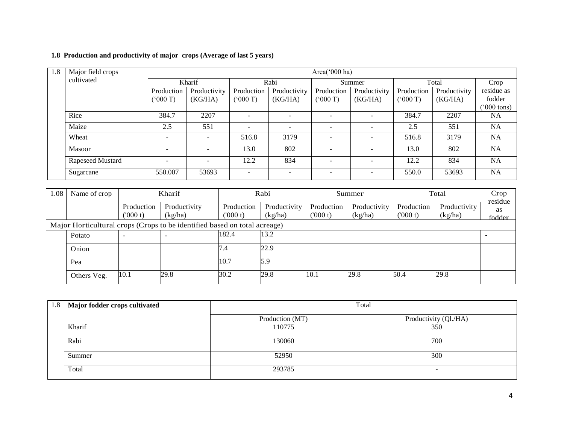# **1.8 Production and productivity of major crops (Average of last 5 years)**

| 1.8 | Major field crops | Area('000 ha)            |                          |                          |                          |                          |              |            |              |                    |
|-----|-------------------|--------------------------|--------------------------|--------------------------|--------------------------|--------------------------|--------------|------------|--------------|--------------------|
|     | cultivated        | Kharif                   |                          |                          | Rabi                     |                          | Summer       |            | Total        |                    |
|     |                   | Production               | Productivity             | Production               | Productivity             | Production               | Productivity | Production | Productivity | Crop<br>residue as |
|     |                   | (5000T)                  | (KG/HA)                  | (7000)                   | (KG/HA)                  | (000T)                   | (KG/HA)      | (000T)     | (KG/HA)      | fodder             |
|     |                   |                          |                          |                          |                          |                          |              |            |              | $000$ tons)        |
|     | Rice              | 384.7                    | 2207                     | -                        |                          | $\overline{\phantom{a}}$ |              | 384.7      | 2207         | <b>NA</b>          |
|     | Maize             | 2.5                      | 551                      | $\overline{\phantom{a}}$ | $\overline{\phantom{0}}$ | $\overline{\phantom{0}}$ |              | 2.5        | 551          | <b>NA</b>          |
|     | Wheat             |                          | $\overline{a}$           | 516.8                    | 3179                     | $\overline{\phantom{0}}$ |              | 516.8      | 3179         | <b>NA</b>          |
|     | <b>Masoor</b>     |                          | $\overline{\phantom{a}}$ | 13.0                     | 802                      |                          |              | 13.0       | 802          | <b>NA</b>          |
|     | Rapeseed Mustard  | $\overline{\phantom{0}}$ | $\overline{a}$           | 12.2                     | 834                      | $\overline{\phantom{0}}$ |              | 12.2       | 834          | <b>NA</b>          |
|     | Sugarcane         | 550.007                  | 53693                    | $\overline{\phantom{0}}$ | $\overline{\phantom{0}}$ | $\overline{\phantom{a}}$ |              | 550.0      | 53693        | <b>NA</b>          |

| 1.08                                                                      | Name of crop | Kharif                |                         |                       | Rabi                    |                       | Summer                  |                        | Total                   |                                |
|---------------------------------------------------------------------------|--------------|-----------------------|-------------------------|-----------------------|-------------------------|-----------------------|-------------------------|------------------------|-------------------------|--------------------------------|
|                                                                           |              | Production<br>(000 t) | Productivity<br>(kg/ha) | Production<br>(000 t) | Productivity<br>(kg/ha) | Production<br>(000 t) | Productivity<br>(kg/ha) | Production<br>(1000 t) | Productivity<br>(kg/ha) | residue<br><b>as</b><br>fodder |
| Major Horticultural crops (Crops to be identified based on total acreage) |              |                       |                         |                       |                         |                       |                         |                        |                         |                                |
|                                                                           | Potato       |                       |                         | 182.4                 | 13.2                    |                       |                         |                        |                         |                                |
|                                                                           | Onion        |                       |                         | 7.4                   | 22.9                    |                       |                         |                        |                         |                                |
|                                                                           | Pea          |                       |                         | 10.7                  | 5.9                     |                       |                         |                        |                         |                                |
|                                                                           | Others Veg.  | 10.1                  | 29.8                    | 30.2                  | 29.8                    | 10.1                  | 29.8                    | 50.4                   | 29.8                    |                                |

| 1.8   Major fodder crops cultivated | Total           |                       |  |  |  |  |
|-------------------------------------|-----------------|-----------------------|--|--|--|--|
|                                     | Production (MT) | Productivity (Ql./HA) |  |  |  |  |
| Kharif                              | 110775          | 350                   |  |  |  |  |
| Rabi                                | 130060          | 700                   |  |  |  |  |
| Summer                              | 52950           | 300                   |  |  |  |  |
| Total                               | 293785          | -                     |  |  |  |  |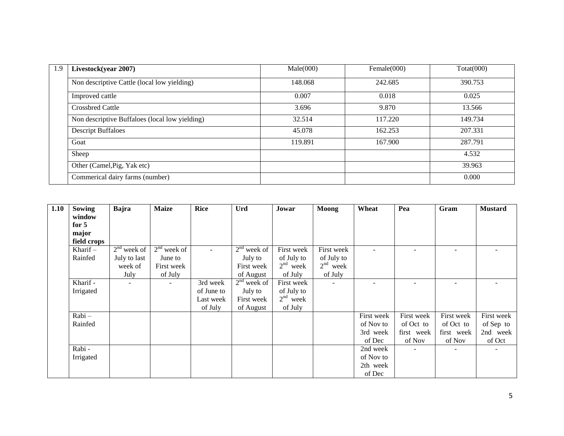| 1.9 | Livestock(year 2007)                           | Male(000) | Female $(000)$ | $\text{Total}(000)$ |
|-----|------------------------------------------------|-----------|----------------|---------------------|
|     | Non descriptive Cattle (local low yielding)    | 148.068   | 242.685        | 390.753             |
|     | Improved cattle                                | 0.007     | 0.018          | 0.025               |
|     | <b>Crossbred Cattle</b>                        | 3.696     | 9.870          | 13.566              |
|     | Non descriptive Buffaloes (local low yielding) | 32.514    | 117.220        | 149.734             |
|     | <b>Descript Buffaloes</b>                      | 45.078    | 162.253        | 207.331             |
|     | Goat                                           | 119.891   | 167.900        | 287.791             |
|     | Sheep                                          |           |                | 4.532               |
|     | Other (Camel, Pig, Yak etc)                    |           |                | 39.963              |
|     | Commerical dairy farms (number)                |           |                | 0.000               |

| 1.10 | <b>Sowing</b> | Bajra         | <b>Maize</b>             | <b>Rice</b> | Urd           | Jowar      | <b>Moong</b>             | Wheat                    | Pea        | Gram           | <b>Mustard</b> |
|------|---------------|---------------|--------------------------|-------------|---------------|------------|--------------------------|--------------------------|------------|----------------|----------------|
|      | window        |               |                          |             |               |            |                          |                          |            |                |                |
|      | for $5$       |               |                          |             |               |            |                          |                          |            |                |                |
|      | major         |               |                          |             |               |            |                          |                          |            |                |                |
|      | field crops   |               |                          |             |               |            |                          |                          |            |                |                |
|      | Kharif $-$    | $2nd$ week of | $2nd$ week of            |             | $2nd$ week of | First week | First week               |                          |            |                |                |
|      | Rainfed       | July to last  | June to                  |             | July to       | of July to | of July to               |                          |            |                |                |
|      |               | week of       | First week               |             | First week    | $2nd$ week | $2nd$ week               |                          |            |                |                |
|      |               | July          | of July                  |             | of August     | of July    | of July                  |                          |            |                |                |
|      | Kharif -      | $\sim$        | $\overline{\phantom{a}}$ | 3rd week    | $2nd$ week of | First week | $\overline{\phantom{a}}$ | $\overline{\phantom{a}}$ |            |                |                |
|      | Irrigated     |               |                          | of June to  | July to       | of July to |                          |                          |            |                |                |
|      |               |               |                          | Last week   | First week    | $2nd$ week |                          |                          |            |                |                |
|      |               |               |                          | of July     | of August     | of July    |                          |                          |            |                |                |
|      | $Rabi -$      |               |                          |             |               |            |                          | First week               | First week | First week     | First week     |
|      | Rainfed       |               |                          |             |               |            |                          | of Nov to                | of Oct to  | of Oct to      | of Sep to      |
|      |               |               |                          |             |               |            |                          | 3rd week                 | first week | first week     | 2nd week       |
|      |               |               |                          |             |               |            |                          | of Dec                   | of Nov     | of Nov         | of Oct         |
|      | Rabi -        |               |                          |             |               |            |                          | 2nd week                 | ÷.         | $\blacksquare$ |                |
|      | Irrigated     |               |                          |             |               |            |                          | of Nov to                |            |                |                |
|      |               |               |                          |             |               |            |                          | 2th week                 |            |                |                |
|      |               |               |                          |             |               |            |                          | of Dec                   |            |                |                |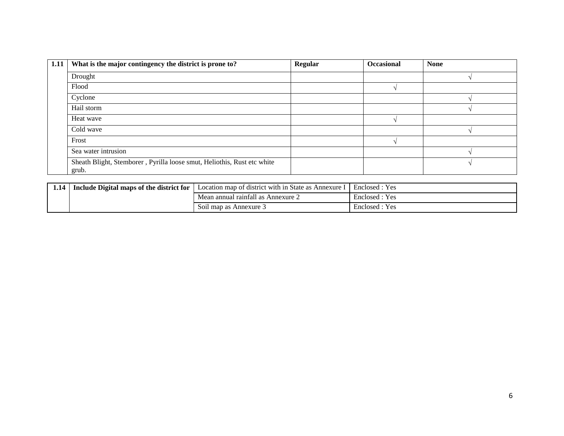| $\vert 1.11 \vert$ | What is the major contingency the district is prone to?                          | Regular | <b>Occasional</b> | <b>None</b> |
|--------------------|----------------------------------------------------------------------------------|---------|-------------------|-------------|
|                    | Drought                                                                          |         |                   |             |
|                    | Flood                                                                            |         |                   |             |
|                    | Cyclone                                                                          |         |                   |             |
|                    | Hail storm                                                                       |         |                   |             |
|                    | Heat wave                                                                        |         |                   |             |
|                    | Cold wave                                                                        |         |                   |             |
|                    | Frost                                                                            |         |                   |             |
|                    | Sea water intrusion                                                              |         |                   |             |
|                    | Sheath Blight, Stemborer, Pyrilla loose smut, Heliothis, Rust etc white<br>grub. |         |                   |             |

| 1.14 | Include Digital maps of the district for | Location map of district with in State as .<br>Annexure | Yes <sup>-</sup><br>Enclosed. |
|------|------------------------------------------|---------------------------------------------------------|-------------------------------|
|      |                                          | Mean annual rainfall as Annexure $\angle$               | Enclosed : Yes                |
|      |                                          | Soil map as Annexure 3                                  | Yes<br>Enclosed.              |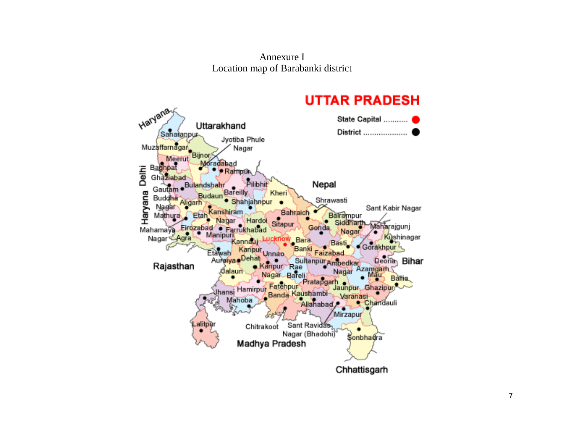Annexure I Location map of Barabanki district

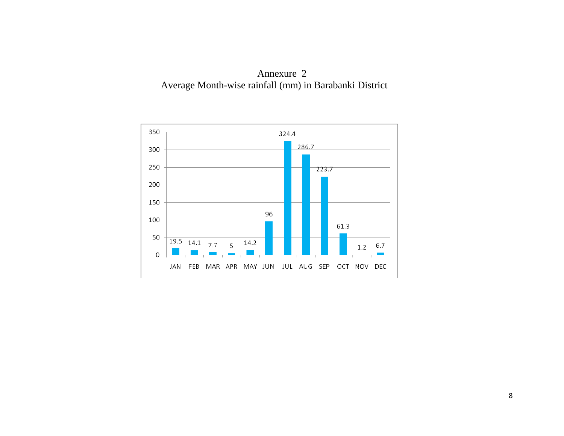

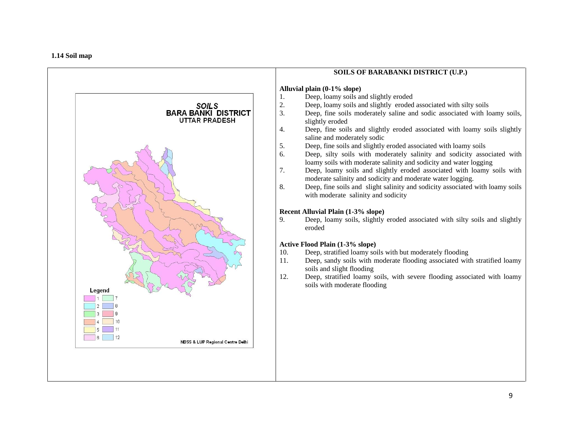#### **1.14 Soil map**

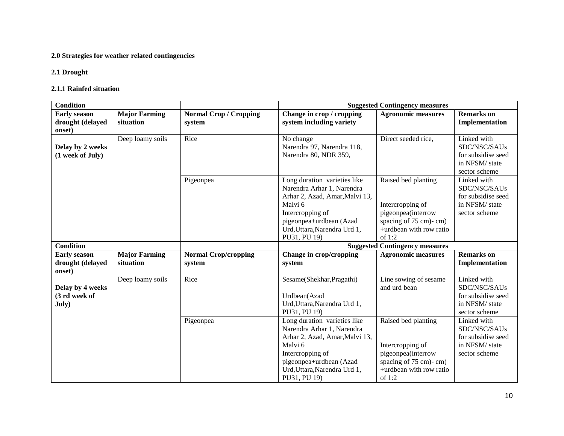# **2.0 Strategies for weather related contingencies**

#### **2.1 Drought**

#### **2.1.1 Rainfed situation**

| <b>Condition</b>                                  |                                   |                                         |                                                                                                                                                                                                        | <b>Suggested Contingency measures</b>                                                                                         |                                                                                      |
|---------------------------------------------------|-----------------------------------|-----------------------------------------|--------------------------------------------------------------------------------------------------------------------------------------------------------------------------------------------------------|-------------------------------------------------------------------------------------------------------------------------------|--------------------------------------------------------------------------------------|
| <b>Early season</b><br>drought (delayed<br>onset) | <b>Major Farming</b><br>situation | <b>Normal Crop / Cropping</b><br>system | Change in crop / cropping<br>system including variety                                                                                                                                                  | <b>Agronomic measures</b>                                                                                                     | <b>Remarks</b> on<br>Implementation                                                  |
| Delay by 2 weeks<br>(1 week of July)              | Deep loamy soils                  | Rice                                    | No change<br>Narendra 97, Narendra 118,<br>Narendra 80, NDR 359,                                                                                                                                       | Direct seeded rice,                                                                                                           | Linked with<br>SDC/NSC/SAUs<br>for subsidise seed<br>in NFSM/ state<br>sector scheme |
|                                                   |                                   | Pigeonpea                               | Long duration varieties like<br>Narendra Arhar 1, Narendra<br>Arhar 2, Azad, Amar, Malvi 13,<br>Malvi 6<br>Intercropping of<br>pigeonpea+urdbean (Azad<br>Urd, Uttara, Narendra Urd 1,<br>PU31, PU 19) | Raised bed planting<br>Intercropping of<br>pigeonpea(interrow<br>spacing of 75 cm)-cm)<br>+urdbean with row ratio<br>of $1:2$ | Linked with<br>SDC/NSC/SAUs<br>for subsidise seed<br>in NFSM/ state<br>sector scheme |
| <b>Condition</b>                                  |                                   |                                         |                                                                                                                                                                                                        | <b>Suggested Contingency measures</b>                                                                                         |                                                                                      |
| <b>Early season</b><br>drought (delayed<br>onset) | <b>Major Farming</b><br>situation | <b>Normal Crop/cropping</b><br>system   | Change in crop/cropping<br>system                                                                                                                                                                      | <b>Agronomic measures</b>                                                                                                     | <b>Remarks</b> on<br>Implementation                                                  |
| Delay by 4 weeks<br>(3 rd week of<br>July)        | Deep loamy soils                  | Rice                                    | Sesame(Shekhar, Pragathi)<br>Urdbean(Azad<br>Urd, Uttara, Narendra Urd 1,<br>PU31, PU 19)                                                                                                              | Line sowing of sesame<br>and urd bean                                                                                         | Linked with<br>SDC/NSC/SAUs<br>for subsidise seed<br>in NFSM/ state<br>sector scheme |
|                                                   |                                   | Pigeonpea                               | Long duration varieties like<br>Narendra Arhar 1, Narendra<br>Arhar 2, Azad, Amar, Malvi 13,<br>Malvi 6<br>Intercropping of<br>pigeonpea+urdbean (Azad<br>Urd, Uttara, Narendra Urd 1,<br>PU31, PU 19) | Raised bed planting<br>Intercropping of<br>pigeonpea(interrow<br>spacing of 75 cm)-cm)<br>+urdbean with row ratio<br>of $1:2$ | Linked with<br>SDC/NSC/SAUs<br>for subsidise seed<br>in NFSM/ state<br>sector scheme |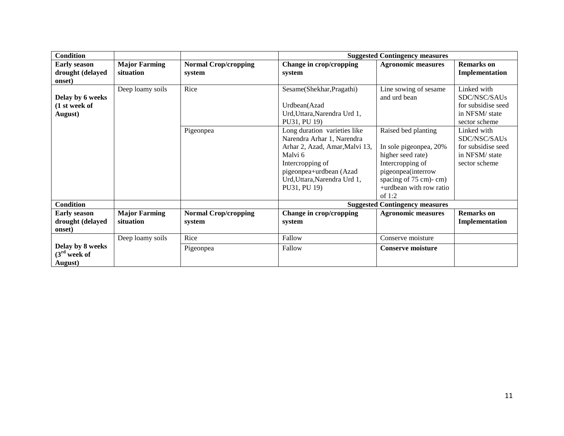| <b>Condition</b>                                  |                                   |                                       |                                                                                                                                                                                                        | <b>Suggested Contingency measures</b>                                                                                                                                      |                                                                                      |
|---------------------------------------------------|-----------------------------------|---------------------------------------|--------------------------------------------------------------------------------------------------------------------------------------------------------------------------------------------------------|----------------------------------------------------------------------------------------------------------------------------------------------------------------------------|--------------------------------------------------------------------------------------|
| <b>Early season</b><br>drought (delayed<br>onset) | <b>Major Farming</b><br>situation | <b>Normal Crop/cropping</b><br>system | Change in crop/cropping<br>system                                                                                                                                                                      | <b>Agronomic measures</b>                                                                                                                                                  | <b>Remarks</b> on<br>Implementation                                                  |
| Delay by 6 weeks<br>(1 st week of<br>August)      | Deep loamy soils                  | Rice                                  | Sesame(Shekhar, Pragathi)<br>Urdbean(Azad<br>Urd, Uttara, Narendra Urd 1,<br>PU31, PU 19)                                                                                                              | Line sowing of sesame<br>and urd bean                                                                                                                                      | Linked with<br>SDC/NSC/SAUs<br>for subsidise seed<br>in NFSM/ state<br>sector scheme |
|                                                   |                                   | Pigeonpea                             | Long duration varieties like<br>Narendra Arhar 1, Narendra<br>Arhar 2, Azad, Amar, Malvi 13,<br>Malvi 6<br>Intercropping of<br>pigeonpea+urdbean (Azad<br>Urd, Uttara, Narendra Urd 1,<br>PU31, PU 19) | Raised bed planting<br>In sole pigeonpea, 20%<br>higher seed rate)<br>Intercropping of<br>pigeonpea(interrow<br>spacing of 75 cm)-cm)<br>+urdbean with row ratio<br>of 1:2 | Linked with<br>SDC/NSC/SAUs<br>for subsidise seed<br>in NFSM/ state<br>sector scheme |
| <b>Condition</b>                                  |                                   |                                       |                                                                                                                                                                                                        | <b>Suggested Contingency measures</b>                                                                                                                                      |                                                                                      |
| <b>Early season</b><br>drought (delayed<br>onset) | <b>Major Farming</b><br>situation | <b>Normal Crop/cropping</b><br>system | Change in crop/cropping<br>system                                                                                                                                                                      | <b>Agronomic measures</b>                                                                                                                                                  | <b>Remarks</b> on<br>Implementation                                                  |
|                                                   | Deep loamy soils                  | Rice                                  | Fallow                                                                                                                                                                                                 | Conserve moisture                                                                                                                                                          |                                                                                      |
| Delay by 8 weeks<br>$(3rd$ week of<br>August)     |                                   | Pigeonpea                             | Fallow                                                                                                                                                                                                 | <b>Conserve moisture</b>                                                                                                                                                   |                                                                                      |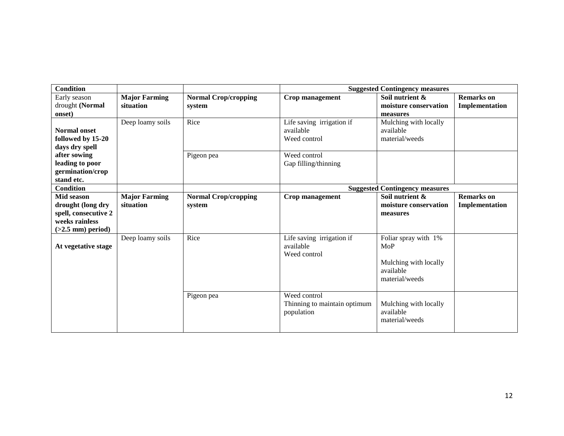| <b>Condition</b>               |                      |                             |                              | <b>Suggested Contingency measures</b> |                   |
|--------------------------------|----------------------|-----------------------------|------------------------------|---------------------------------------|-------------------|
| Early season                   | <b>Major Farming</b> | <b>Normal Crop/cropping</b> | <b>Crop management</b>       | Soil nutrient &                       | <b>Remarks</b> on |
| drought (Normal                | situation            | system                      |                              | moisture conservation                 | Implementation    |
| onset)                         |                      |                             |                              | measures                              |                   |
|                                | Deep loamy soils     | Rice                        | Life saving irrigation if    | Mulching with locally                 |                   |
| <b>Normal onset</b>            |                      |                             | available                    | available                             |                   |
| followed by 15-20              |                      |                             | Weed control                 | material/weeds                        |                   |
| days dry spell                 |                      |                             |                              |                                       |                   |
| after sowing                   |                      | Pigeon pea                  | Weed control                 |                                       |                   |
| leading to poor                |                      |                             | Gap filling/thinning         |                                       |                   |
| germination/crop<br>stand etc. |                      |                             |                              |                                       |                   |
| <b>Condition</b>               |                      |                             |                              | <b>Suggested Contingency measures</b> |                   |
| Mid season                     | <b>Major Farming</b> | <b>Normal Crop/cropping</b> | Crop management              | Soil nutrient &                       | <b>Remarks</b> on |
| drought (long dry              | situation            | system                      |                              | moisture conservation                 | Implementation    |
| spell, consecutive 2           |                      |                             |                              | measures                              |                   |
| weeks rainless                 |                      |                             |                              |                                       |                   |
|                                |                      |                             |                              |                                       |                   |
|                                |                      |                             |                              |                                       |                   |
| $(>2.5$ mm) period)            | Deep loamy soils     | Rice                        | Life saving irrigation if    | Foliar spray with 1%                  |                   |
| At vegetative stage            |                      |                             | available                    | MoP                                   |                   |
|                                |                      |                             | Weed control                 |                                       |                   |
|                                |                      |                             |                              | Mulching with locally                 |                   |
|                                |                      |                             |                              | available                             |                   |
|                                |                      |                             |                              | material/weeds                        |                   |
|                                |                      |                             |                              |                                       |                   |
|                                |                      | Pigeon pea                  | Weed control                 |                                       |                   |
|                                |                      |                             | Thinning to maintain optimum | Mulching with locally                 |                   |
|                                |                      |                             | population                   | available                             |                   |
|                                |                      |                             |                              | material/weeds                        |                   |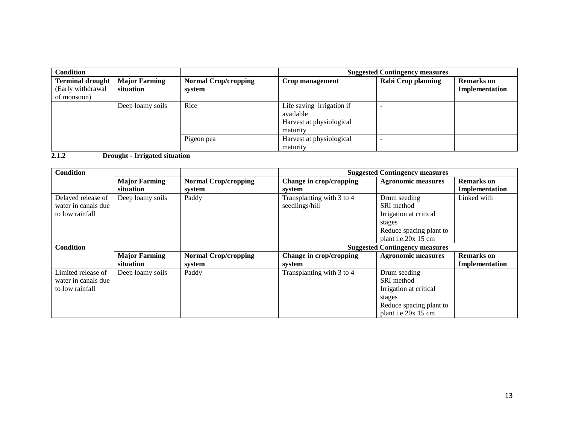| <b>Condition</b>                                            |                                   |                                       |                                                                                | <b>Suggested Contingency measures</b> |                                     |
|-------------------------------------------------------------|-----------------------------------|---------------------------------------|--------------------------------------------------------------------------------|---------------------------------------|-------------------------------------|
| <b>Terminal drought</b><br>(Early withdrawal<br>of monsoon) | <b>Major Farming</b><br>situation | <b>Normal Crop/cropping</b><br>system | Crop management                                                                | Rabi Crop planning                    | <b>Remarks</b> on<br>Implementation |
|                                                             | Deep loamy soils                  | Rice                                  | Life saving irrigation if<br>available<br>Harvest at physiological<br>maturity |                                       |                                     |
|                                                             |                                   | Pigeon pea                            | Harvest at physiological<br>maturity                                           |                                       |                                     |

**2.1.2 Drought - Irrigated situation**

| <b>Condition</b>    |                      |                             | <b>Suggested Contingency measures</b> |                                       |                   |
|---------------------|----------------------|-----------------------------|---------------------------------------|---------------------------------------|-------------------|
|                     | <b>Major Farming</b> | <b>Normal Crop/cropping</b> | Change in crop/cropping               | <b>Agronomic measures</b>             | <b>Remarks</b> on |
|                     | situation            | system                      | system                                |                                       | Implementation    |
| Delayed release of  | Deep loamy soils     | Paddy                       | Transplanting with 3 to 4             | Drum seeding                          | Linked with       |
| water in canals due |                      |                             | seedlings/hill                        | SRI method                            |                   |
| to low rainfall     |                      |                             |                                       | Irrigation at critical                |                   |
|                     |                      |                             |                                       | stages                                |                   |
|                     |                      |                             |                                       | Reduce spacing plant to               |                   |
|                     |                      |                             |                                       | plant i.e. $20x$ 15 cm                |                   |
| <b>Condition</b>    |                      |                             |                                       | <b>Suggested Contingency measures</b> |                   |
|                     | <b>Major Farming</b> | <b>Normal Crop/cropping</b> | Change in crop/cropping               | <b>Agronomic measures</b>             | <b>Remarks</b> on |
|                     | <b>situation</b>     | system                      | system                                |                                       | Implementation    |
| Limited release of  | Deep loamy soils     | Paddy                       | Transplanting with 3 to 4             | Drum seeding                          |                   |
| water in canals due |                      |                             |                                       | SRI method                            |                   |
| to low rainfall     |                      |                             |                                       | Irrigation at critical                |                   |
|                     |                      |                             |                                       | stages                                |                   |
|                     |                      |                             |                                       | Reduce spacing plant to               |                   |
|                     |                      |                             |                                       | plant i.e.20x 15 cm                   |                   |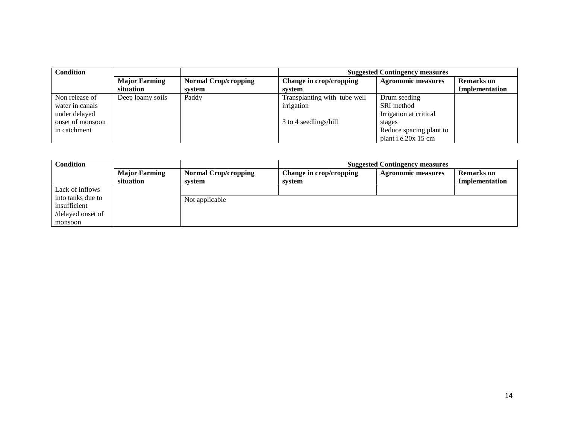| <b>Condition</b> |                      |                             | <b>Suggested Contingency measures</b> |                           |                   |  |
|------------------|----------------------|-----------------------------|---------------------------------------|---------------------------|-------------------|--|
|                  | <b>Major Farming</b> | <b>Normal Crop/cropping</b> | Change in crop/cropping               | <b>Agronomic measures</b> | <b>Remarks</b> on |  |
|                  | situation            | system                      | system                                |                           | Implementation    |  |
| Non release of   | Deep loamy soils     | Paddy                       | Transplanting with tube well          | Drum seeding              |                   |  |
| water in canals  |                      |                             | irrigation                            | SRI method                |                   |  |
| under delayed    |                      |                             |                                       | Irrigation at critical    |                   |  |
| onset of monsoon |                      |                             | 3 to 4 seedlings/hill                 | stages                    |                   |  |
| in catchment     |                      |                             |                                       | Reduce spacing plant to   |                   |  |
|                  |                      |                             |                                       | plant i.e.20x 15 cm       |                   |  |

| <b>Condition</b>  |                      | <b>Suggested Contingency measures</b> |                         |                           |                   |
|-------------------|----------------------|---------------------------------------|-------------------------|---------------------------|-------------------|
|                   | <b>Major Farming</b> | <b>Normal Crop/cropping</b>           | Change in crop/cropping | <b>Agronomic measures</b> | <b>Remarks</b> on |
|                   | situation            | system                                | system                  |                           | Implementation    |
| Lack of inflows   |                      |                                       |                         |                           |                   |
| into tanks due to |                      | Not applicable                        |                         |                           |                   |
| insufficient      |                      |                                       |                         |                           |                   |
| /delayed onset of |                      |                                       |                         |                           |                   |
| monsoon           |                      |                                       |                         |                           |                   |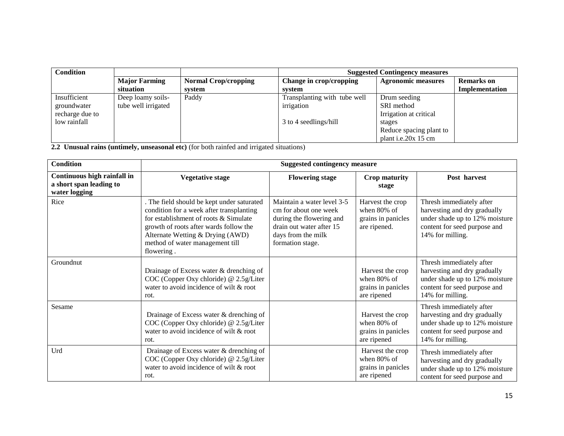| <b>Condition</b> |                      |                             | <b>Suggested Contingency measures</b> |                           |                   |  |
|------------------|----------------------|-----------------------------|---------------------------------------|---------------------------|-------------------|--|
|                  | <b>Major Farming</b> | <b>Normal Crop/cropping</b> | Change in crop/cropping               | <b>Agronomic measures</b> | <b>Remarks</b> on |  |
|                  | situation            | system                      | system                                |                           | Implementation    |  |
| Insufficient     | Deep loamy soils-    | Paddy                       | Transplanting with tube well          | Drum seeding              |                   |  |
| groundwater      | tube well irrigated  |                             | irrigation                            | SRI method                |                   |  |
| recharge due to  |                      |                             |                                       | Irrigation at critical    |                   |  |
| low rainfall     |                      |                             | 3 to 4 seedlings/hill                 | stages                    |                   |  |
|                  |                      |                             |                                       | Reduce spacing plant to   |                   |  |
|                  |                      |                             |                                       | plant i.e.20 $x$ 15 cm    |                   |  |

**2.2 Unusual rains (untimely, unseasonal etc)** (for both rainfed and irrigated situations)

| <b>Condition</b>                                                        | <b>Suggested contingency measure</b>                                                                                                                                                                                                                           |                                                                                                                                                       |                                                                          |                                                                                                                                                |  |
|-------------------------------------------------------------------------|----------------------------------------------------------------------------------------------------------------------------------------------------------------------------------------------------------------------------------------------------------------|-------------------------------------------------------------------------------------------------------------------------------------------------------|--------------------------------------------------------------------------|------------------------------------------------------------------------------------------------------------------------------------------------|--|
| Continuous high rainfall in<br>a short span leading to<br>water logging | <b>Vegetative stage</b>                                                                                                                                                                                                                                        | <b>Flowering stage</b>                                                                                                                                | <b>Crop maturity</b><br>stage                                            | Post harvest                                                                                                                                   |  |
| Rice                                                                    | . The field should be kept under saturated<br>condition for a week after transplanting<br>for establishment of roots & Simulate<br>growth of roots after wards follow the<br>Alternate Wetting & Drying (AWD)<br>method of water management till<br>flowering. | Maintain a water level 3-5<br>cm for about one week<br>during the flowering and<br>drain out water after 15<br>days from the milk<br>formation stage. | Harvest the crop<br>when $80\%$ of<br>grains in panicles<br>are ripened. | Thresh immediately after<br>harvesting and dry gradually<br>under shade up to 12% moisture<br>content for seed purpose and<br>14% for milling. |  |
| Groundnut                                                               | Drainage of Excess water & drenching of<br>COC (Copper Oxy chloride) @ 2.5g/Liter<br>water to avoid incidence of wilt & root<br>rot.                                                                                                                           |                                                                                                                                                       | Harvest the crop<br>when 80% of<br>grains in panicles<br>are ripened     | Thresh immediately after<br>harvesting and dry gradually<br>under shade up to 12% moisture<br>content for seed purpose and<br>14% for milling. |  |
| Sesame                                                                  | Drainage of Excess water & drenching of<br>COC (Copper Oxy chloride) @ 2.5g/Liter<br>water to avoid incidence of wilt & root<br>rot.                                                                                                                           |                                                                                                                                                       | Harvest the crop<br>when $80\%$ of<br>grains in panicles<br>are ripened  | Thresh immediately after<br>harvesting and dry gradually<br>under shade up to 12% moisture<br>content for seed purpose and<br>14% for milling. |  |
| Urd                                                                     | Drainage of Excess water & drenching of<br>COC (Copper Oxy chloride) @ 2.5g/Liter<br>water to avoid incidence of wilt & root<br>rot.                                                                                                                           |                                                                                                                                                       | Harvest the crop<br>when $80\%$ of<br>grains in panicles<br>are ripened  | Thresh immediately after<br>harvesting and dry gradually<br>under shade up to 12% moisture<br>content for seed purpose and                     |  |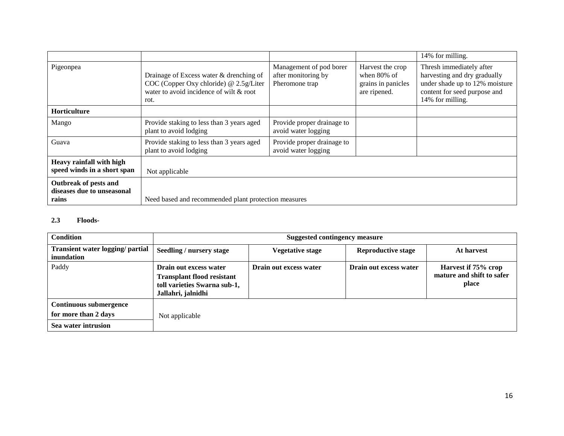|                                                              |                                                                                                                                      |                                                                  |                                                                          | 14% for milling.                                                                                                                               |
|--------------------------------------------------------------|--------------------------------------------------------------------------------------------------------------------------------------|------------------------------------------------------------------|--------------------------------------------------------------------------|------------------------------------------------------------------------------------------------------------------------------------------------|
| Pigeonpea                                                    | Drainage of Excess water & drenching of<br>COC (Copper Oxy chloride) @ 2.5g/Liter<br>water to avoid incidence of wilt & root<br>rot. | Management of pod borer<br>after monitoring by<br>Pheromone trap | Harvest the crop<br>when $80\%$ of<br>grains in panicles<br>are ripened. | Thresh immediately after<br>harvesting and dry gradually<br>under shade up to 12% moisture<br>content for seed purpose and<br>14% for milling. |
| <b>Horticulture</b>                                          |                                                                                                                                      |                                                                  |                                                                          |                                                                                                                                                |
| Mango                                                        | Provide staking to less than 3 years aged<br>plant to avoid lodging                                                                  | Provide proper drainage to<br>avoid water logging                |                                                                          |                                                                                                                                                |
| Guava                                                        | Provide staking to less than 3 years aged<br>plant to avoid lodging                                                                  | Provide proper drainage to<br>avoid water logging                |                                                                          |                                                                                                                                                |
| Heavy rainfall with high<br>speed winds in a short span      | Not applicable                                                                                                                       |                                                                  |                                                                          |                                                                                                                                                |
| Outbreak of pests and<br>diseases due to unseasonal<br>rains | Need based and recommended plant protection measures                                                                                 |                                                                  |                                                                          |                                                                                                                                                |

#### **2.3 Floods-**

| <b>Condition</b>                                                             | <b>Suggested contingency measure</b>                                                                              |                         |                           |                                                           |
|------------------------------------------------------------------------------|-------------------------------------------------------------------------------------------------------------------|-------------------------|---------------------------|-----------------------------------------------------------|
| Transient water logging/ partial<br>inundation                               | Seedling / nursery stage                                                                                          | <b>Vegetative stage</b> | <b>Reproductive stage</b> | At harvest                                                |
| Paddy                                                                        | Drain out excess water<br><b>Transplant flood resistant</b><br>toll varieties Swarna sub-1,<br>Jallahri, jalnidhi | Drain out excess water  | Drain out excess water    | Harvest if 75% crop<br>mature and shift to safer<br>place |
| <b>Continuous submergence</b><br>for more than 2 days<br>Sea water intrusion | Not applicable                                                                                                    |                         |                           |                                                           |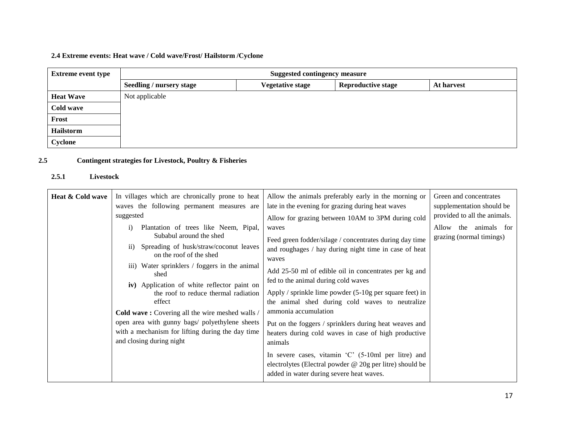# **2.4 Extreme events: Heat wave / Cold wave/Frost/ Hailstorm /Cyclone**

| <b>Extreme event type</b> | <b>Suggested contingency measure</b> |                         |                           |            |
|---------------------------|--------------------------------------|-------------------------|---------------------------|------------|
|                           | <b>Seedling / nursery stage</b>      | <b>Vegetative stage</b> | <b>Reproductive stage</b> | At harvest |
| <b>Heat Wave</b>          | Not applicable                       |                         |                           |            |
| Cold wave                 |                                      |                         |                           |            |
| Frost                     |                                      |                         |                           |            |
| Hailstorm                 |                                      |                         |                           |            |
| Cyclone                   |                                      |                         |                           |            |

# **2.5 Contingent strategies for Livestock, Poultry & Fisheries**

#### **2.5.1 Livestock**

| Heat & Cold wave | In villages which are chronically prone to heat<br>waves the following permanent measures are<br>suggested<br>Plantation of trees like Neem, Pipal,<br>$\overline{1}$<br>Subabul around the shed<br>Spreading of husk/straw/coconut leaves<br>$\overline{11}$ )<br>on the roof of the shed<br>iii) Water sprinklers / foggers in the animal<br>shed<br>iv) Application of white reflector paint on<br>the roof to reduce thermal radiation<br>effect<br>Cold wave: Covering all the wire meshed walls /<br>open area with gunny bags/ polyethylene sheets<br>with a mechanism for lifting during the day time<br>and closing during night | Allow the animals preferably early in the morning or<br>late in the evening for grazing during heat waves<br>Allow for grazing between 10AM to 3PM during cold<br>waves<br>Feed green fodder/silage / concentrates during day time<br>and roughages / hay during night time in case of heat<br>waves<br>Add 25-50 ml of edible oil in concentrates per kg and<br>fed to the animal during cold waves<br>Apply / sprinkle lime powder $(5-10)$ g per square feet) in<br>the animal shed during cold waves to neutralize<br>ammonia accumulation<br>Put on the foggers / sprinklers during heat weaves and<br>heaters during cold waves in case of high productive<br>animals | Green and concentrates<br>supplementation should be<br>provided to all the animals.<br>Allow the animals for<br>grazing (normal timings) |
|------------------|-------------------------------------------------------------------------------------------------------------------------------------------------------------------------------------------------------------------------------------------------------------------------------------------------------------------------------------------------------------------------------------------------------------------------------------------------------------------------------------------------------------------------------------------------------------------------------------------------------------------------------------------|-----------------------------------------------------------------------------------------------------------------------------------------------------------------------------------------------------------------------------------------------------------------------------------------------------------------------------------------------------------------------------------------------------------------------------------------------------------------------------------------------------------------------------------------------------------------------------------------------------------------------------------------------------------------------------|------------------------------------------------------------------------------------------------------------------------------------------|
|                  |                                                                                                                                                                                                                                                                                                                                                                                                                                                                                                                                                                                                                                           | In severe cases, vitamin $^{\circ}$ C $^{\circ}$ (5-10ml per litre) and<br>electrolytes (Electral powder @ 20g per litre) should be<br>added in water during severe heat waves.                                                                                                                                                                                                                                                                                                                                                                                                                                                                                             |                                                                                                                                          |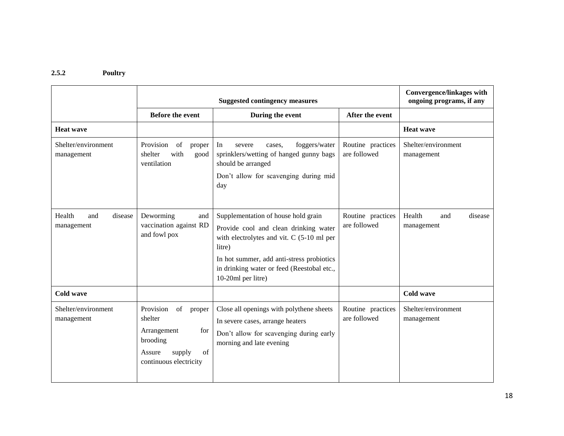#### **2.5.2 Poultry**

|                                        | <b>Suggested contingency measures</b>                                                                                                                               |                                                                                                                                                                                                                                                      |                                   | <b>Convergence/linkages with</b><br>ongoing programs, if any |  |
|----------------------------------------|---------------------------------------------------------------------------------------------------------------------------------------------------------------------|------------------------------------------------------------------------------------------------------------------------------------------------------------------------------------------------------------------------------------------------------|-----------------------------------|--------------------------------------------------------------|--|
| <b>Before the event</b>                |                                                                                                                                                                     | During the event<br>After the event                                                                                                                                                                                                                  |                                   |                                                              |  |
| <b>Heat wave</b>                       |                                                                                                                                                                     |                                                                                                                                                                                                                                                      |                                   | <b>Heat wave</b>                                             |  |
| Shelter/environment<br>management      | Provision<br>$% \left( \left( \mathcal{A},\mathcal{A}\right) \right) =\left( \mathcal{A},\mathcal{A}\right)$ of<br>proper<br>with<br>shelter<br>good<br>ventilation | foggers/water<br>In<br>severe<br>cases.<br>sprinklers/wetting of hanged gunny bags<br>should be arranged<br>Don't allow for scavenging during mid<br>day                                                                                             | Routine practices<br>are followed | Shelter/environment<br>management                            |  |
| Health<br>and<br>disease<br>management | Deworming<br>and<br>vaccination against RD<br>and fowl pox                                                                                                          | Supplementation of house hold grain<br>Provide cool and clean drinking water<br>with electrolytes and vit. C (5-10 ml per<br>litre)<br>In hot summer, add anti-stress probiotics<br>in drinking water or feed (Reestobal etc.,<br>10-20ml per litre) | Routine practices<br>are followed | Health<br>disease<br>and<br>management                       |  |
| Cold wave                              |                                                                                                                                                                     |                                                                                                                                                                                                                                                      |                                   | <b>Cold wave</b>                                             |  |
| Shelter/environment<br>management      | Provision<br>of<br>proper<br>shelter<br>Arrangement<br>for<br>brooding<br>Assure<br>supply<br>of<br>continuous electricity                                          | Close all openings with polythene sheets<br>In severe cases, arrange heaters<br>Don't allow for scavenging during early<br>morning and late evening                                                                                                  | Routine practices<br>are followed | Shelter/environment<br>management                            |  |